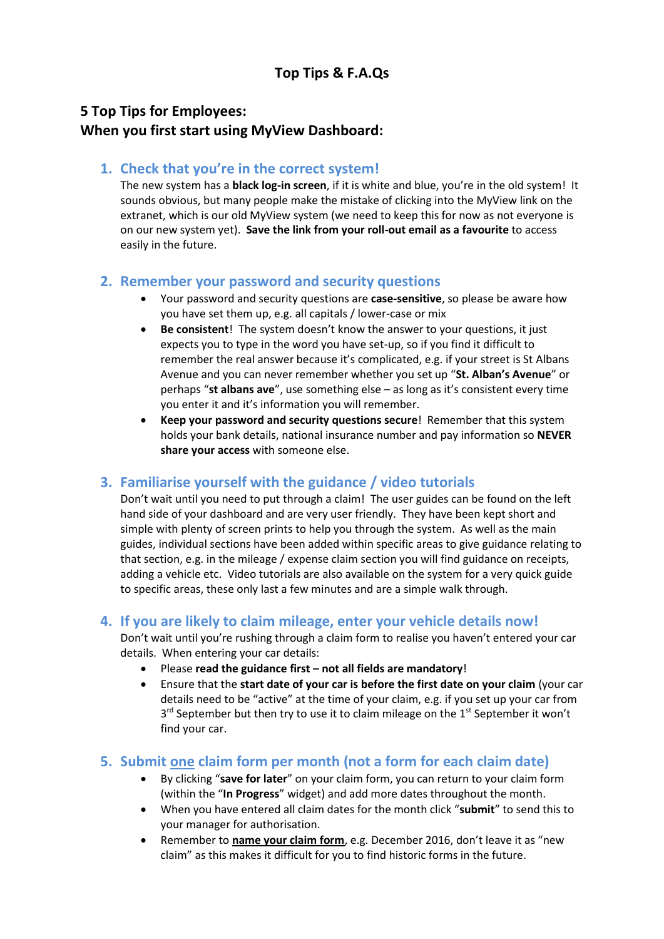## **5 Top Tips for Employees: When you first start using MyView Dashboard:**

### **1. Check that you're in the correct system!**

The new system has a **black log-in screen**, if it is white and blue, you're in the old system! It sounds obvious, but many people make the mistake of clicking into the MyView link on the extranet, which is our old MyView system (we need to keep this for now as not everyone is on our new system yet). **Save the link from your roll-out email as a favourite** to access easily in the future.

### **2. Remember your password and security questions**

- Your password and security questions are **case-sensitive**, so please be aware how you have set them up, e.g. all capitals / lower-case or mix
- **Be consistent**! The system doesn't know the answer to your questions, it just expects you to type in the word you have set-up, so if you find it difficult to remember the real answer because it's complicated, e.g. if your street is St Albans Avenue and you can never remember whether you set up "**St. Alban's Avenue**" or perhaps "**st albans ave**", use something else – as long as it's consistent every time you enter it and it's information you will remember.
- **Keep your password and security questions secure**! Remember that this system holds your bank details, national insurance number and pay information so **NEVER share your access** with someone else.

## **3. Familiarise yourself with the guidance / video tutorials**

Don't wait until you need to put through a claim! The user guides can be found on the left hand side of your dashboard and are very user friendly. They have been kept short and simple with plenty of screen prints to help you through the system. As well as the main guides, individual sections have been added within specific areas to give guidance relating to that section, e.g. in the mileage / expense claim section you will find guidance on receipts, adding a vehicle etc. Video tutorials are also available on the system for a very quick guide to specific areas, these only last a few minutes and are a simple walk through.

### **4. If you are likely to claim mileage, enter your vehicle details now!**

Don't wait until you're rushing through a claim form to realise you haven't entered your car details. When entering your car details:

- Please **read the guidance first – not all fields are mandatory**!
- Ensure that the **start date of your car is before the first date on your claim** (your car details need to be "active" at the time of your claim, e.g. if you set up your car from 3<sup>rd</sup> September but then try to use it to claim mileage on the 1<sup>st</sup> September it won't find your car.

### **5. Submit one claim form per month (not a form for each claim date)**

- By clicking "**save for later**" on your claim form, you can return to your claim form (within the "**In Progress**" widget) and add more dates throughout the month.
- When you have entered all claim dates for the month click "**submit**" to send this to your manager for authorisation.
- Remember to **name your claim form**, e.g. December 2016, don't leave it as "new claim" as this makes it difficult for you to find historic forms in the future.